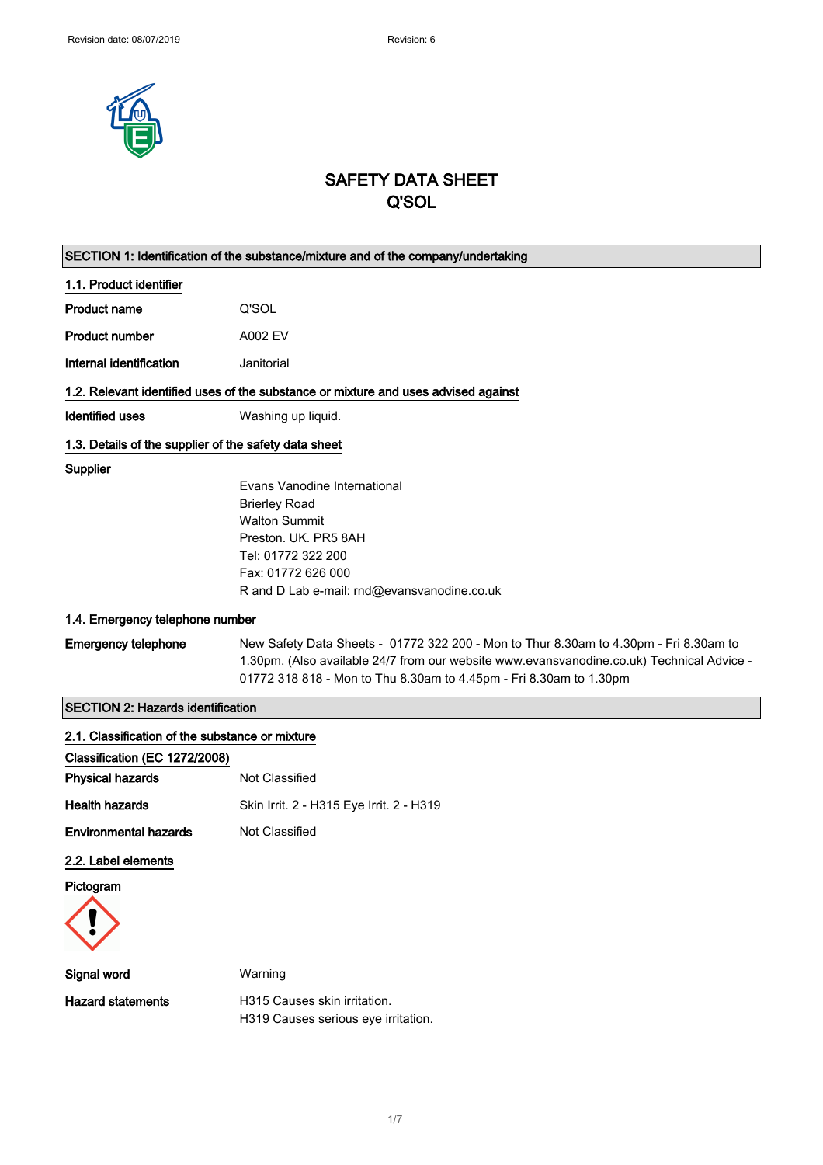

# SAFETY DATA SHEET Q'SOL

| SECTION 1: Identification of the substance/mixture and of the company/undertaking  |                                                                                           |  |
|------------------------------------------------------------------------------------|-------------------------------------------------------------------------------------------|--|
| 1.1. Product identifier                                                            |                                                                                           |  |
| <b>Product name</b>                                                                | Q'SOL                                                                                     |  |
| <b>Product number</b>                                                              | A002 EV                                                                                   |  |
| Internal identification                                                            | Janitorial                                                                                |  |
| 1.2. Relevant identified uses of the substance or mixture and uses advised against |                                                                                           |  |
| Identified uses                                                                    | Washing up liquid.                                                                        |  |
| 1.3. Details of the supplier of the safety data sheet                              |                                                                                           |  |
| Supplier                                                                           |                                                                                           |  |
|                                                                                    | Evans Vanodine International                                                              |  |
|                                                                                    | <b>Brierley Road</b>                                                                      |  |
|                                                                                    | <b>Walton Summit</b>                                                                      |  |
|                                                                                    | Preston, UK, PR5 8AH                                                                      |  |
|                                                                                    | Tel: 01772 322 200                                                                        |  |
|                                                                                    | Fax: 01772 626 000                                                                        |  |
|                                                                                    | R and D Lab e-mail: rnd@evansvanodine.co.uk                                               |  |
|                                                                                    | 1.4. Emergency telephone number                                                           |  |
| <b>Emergency telephone</b>                                                         | New Safety Data Sheets - 01772 322 200 - Mon to Thur 8.30am to 4.30pm - Fri 8.30am to     |  |
|                                                                                    | 1.30pm. (Also available 24/7 from our website www.evansvanodine.co.uk) Technical Advice - |  |
|                                                                                    | 01772 318 818 - Mon to Thu 8.30am to 4.45pm - Fri 8.30am to 1.30pm                        |  |
| <b>SECTION 2: Hazards identification</b>                                           |                                                                                           |  |
| 2.1. Classification of the substance or mixture                                    |                                                                                           |  |
| Classification (EC 1272/2008)                                                      |                                                                                           |  |
| <b>Physical hazards</b>                                                            | Not Classified                                                                            |  |
| <b>Health hazards</b>                                                              | Skin Irrit. 2 - H315 Eye Irrit. 2 - H319                                                  |  |
| <b>Environmental hazards</b>                                                       | Not Classified                                                                            |  |
| 2.2. Label elements                                                                |                                                                                           |  |
| Pictogram                                                                          |                                                                                           |  |
|                                                                                    |                                                                                           |  |
| Signal word                                                                        | Warning                                                                                   |  |
| <b>Hazard statements</b>                                                           | H315 Causes skin irritation.                                                              |  |
|                                                                                    | H319 Causes serious eye irritation.                                                       |  |
|                                                                                    |                                                                                           |  |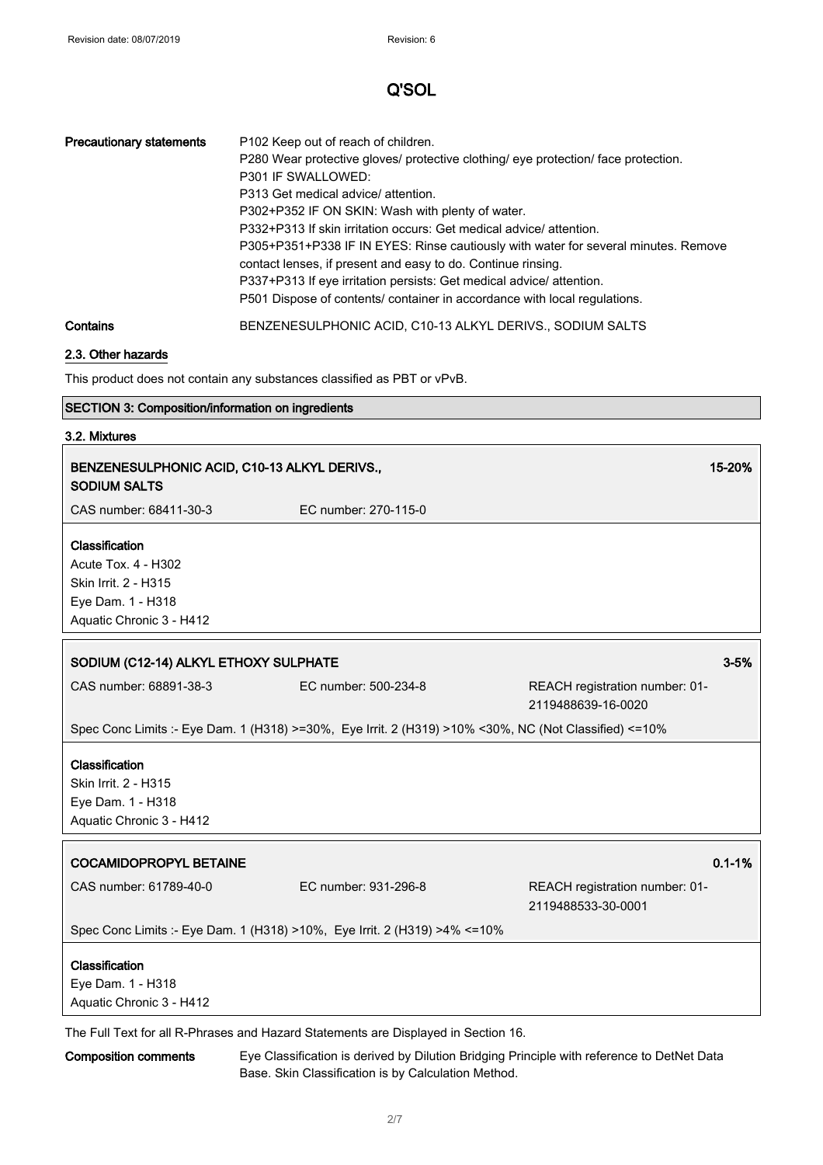| <b>Precautionary statements</b> | P <sub>102</sub> Keep out of reach of children.<br>P280 Wear protective gloves/ protective clothing/ eye protection/ face protection.<br>P301 IF SWALLOWED:<br>P313 Get medical advice/ attention.<br>P302+P352 IF ON SKIN: Wash with plenty of water.<br>P332+P313 If skin irritation occurs: Get medical advice/attention.<br>P305+P351+P338 IF IN EYES: Rinse cautiously with water for several minutes. Remove<br>contact lenses, if present and easy to do. Continue rinsing.<br>P337+P313 If eye irritation persists: Get medical advice/attention.<br>P501 Dispose of contents/ container in accordance with local regulations. |
|---------------------------------|----------------------------------------------------------------------------------------------------------------------------------------------------------------------------------------------------------------------------------------------------------------------------------------------------------------------------------------------------------------------------------------------------------------------------------------------------------------------------------------------------------------------------------------------------------------------------------------------------------------------------------------|
| Contains                        | BENZENESULPHONIC ACID, C10-13 ALKYL DERIVS., SODIUM SALTS                                                                                                                                                                                                                                                                                                                                                                                                                                                                                                                                                                              |

# 2.3. Other hazards

This product does not contain any substances classified as PBT or vPvB.

## SECTION 3: Composition/information on ingredients

## 3.2. Mixtures

| BENZENESULPHONIC ACID, C10-13 ALKYL DERIVS.,<br><b>SODIUM SALTS</b>                                            |                                                                                                       |                                                      | 15-20%     |
|----------------------------------------------------------------------------------------------------------------|-------------------------------------------------------------------------------------------------------|------------------------------------------------------|------------|
| CAS number: 68411-30-3                                                                                         | EC number: 270-115-0                                                                                  |                                                      |            |
| Classification<br>Acute Tox. 4 - H302<br>Skin Irrit. 2 - H315<br>Eye Dam. 1 - H318<br>Aquatic Chronic 3 - H412 |                                                                                                       |                                                      |            |
| SODIUM (C12-14) ALKYL ETHOXY SULPHATE                                                                          |                                                                                                       |                                                      | $3 - 5%$   |
| CAS number: 68891-38-3                                                                                         | EC number: 500-234-8                                                                                  | REACH registration number: 01-<br>2119488639-16-0020 |            |
|                                                                                                                | Spec Conc Limits :- Eye Dam. 1 (H318) >=30%, Eye Irrit. 2 (H319) >10% <30%, NC (Not Classified) <=10% |                                                      |            |
| Classification<br>Skin Irrit. 2 - H315<br>Eye Dam. 1 - H318<br>Aquatic Chronic 3 - H412                        |                                                                                                       |                                                      |            |
| <b>COCAMIDOPROPYL BETAINE</b>                                                                                  |                                                                                                       |                                                      | $0.1 - 1%$ |
| CAS number: 61789-40-0                                                                                         | EC number: 931-296-8                                                                                  | REACH registration number: 01-<br>2119488533-30-0001 |            |
| Spec Conc Limits :- Eye Dam. 1 (H318) >10%, Eye Irrit. 2 (H319) >4% <= 10%                                     |                                                                                                       |                                                      |            |
| Classification<br>Eye Dam. 1 - H318<br>Aquatic Chronic 3 - H412                                                |                                                                                                       |                                                      |            |
| The Full Text for all R-Phrases and Hazard Statements are Displayed in Section 16.                             |                                                                                                       |                                                      |            |

Composition comments Eye Classification is derived by Dilution Bridging Principle with reference to DetNet Data Base. Skin Classification is by Calculation Method.

٦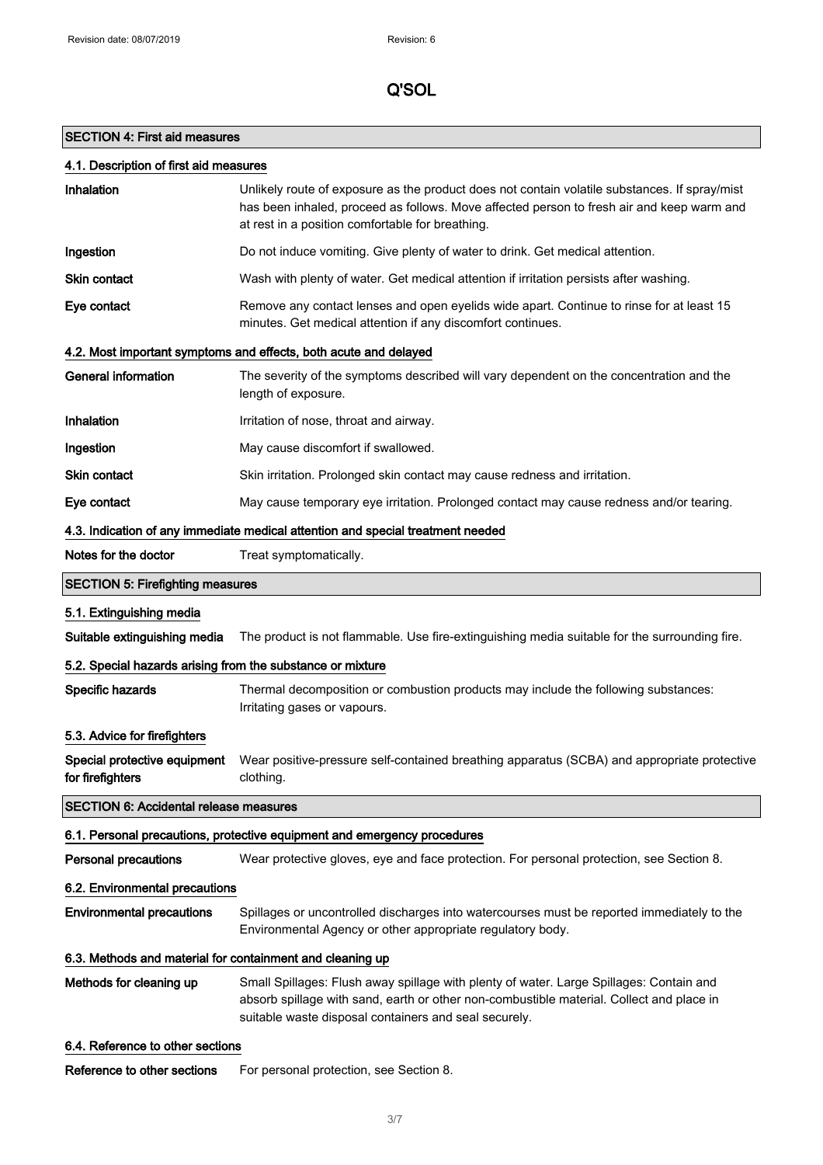$\overline{\phantom{a}}$ 

 $\overline{\phantom{a}}$ 

# Q'SOL

# SECTION 4: First aid measures

| 4.1. Description of first aid measures                                          |                                                                                                                                                                                                                                                |  |
|---------------------------------------------------------------------------------|------------------------------------------------------------------------------------------------------------------------------------------------------------------------------------------------------------------------------------------------|--|
| Inhalation                                                                      | Unlikely route of exposure as the product does not contain volatile substances. If spray/mist<br>has been inhaled, proceed as follows. Move affected person to fresh air and keep warm and<br>at rest in a position comfortable for breathing. |  |
| Ingestion                                                                       | Do not induce vomiting. Give plenty of water to drink. Get medical attention.                                                                                                                                                                  |  |
| Skin contact                                                                    | Wash with plenty of water. Get medical attention if irritation persists after washing.                                                                                                                                                         |  |
| Eye contact                                                                     | Remove any contact lenses and open eyelids wide apart. Continue to rinse for at least 15<br>minutes. Get medical attention if any discomfort continues.                                                                                        |  |
|                                                                                 | 4.2. Most important symptoms and effects, both acute and delayed                                                                                                                                                                               |  |
| <b>General information</b>                                                      | The severity of the symptoms described will vary dependent on the concentration and the<br>length of exposure.                                                                                                                                 |  |
| Inhalation                                                                      | Irritation of nose, throat and airway.                                                                                                                                                                                                         |  |
| Ingestion                                                                       | May cause discomfort if swallowed.                                                                                                                                                                                                             |  |
| <b>Skin contact</b>                                                             | Skin irritation. Prolonged skin contact may cause redness and irritation.                                                                                                                                                                      |  |
| Eye contact                                                                     | May cause temporary eye irritation. Prolonged contact may cause redness and/or tearing.                                                                                                                                                        |  |
| 4.3. Indication of any immediate medical attention and special treatment needed |                                                                                                                                                                                                                                                |  |
| Notes for the doctor                                                            | Treat symptomatically.                                                                                                                                                                                                                         |  |
| <b>SECTION 5: Firefighting measures</b>                                         |                                                                                                                                                                                                                                                |  |
| 5.1. Extinguishing media                                                        |                                                                                                                                                                                                                                                |  |
| Suitable extinguishing media                                                    | The product is not flammable. Use fire-extinguishing media suitable for the surrounding fire.                                                                                                                                                  |  |
| 5.2. Special hazards arising from the substance or mixture                      |                                                                                                                                                                                                                                                |  |
| Specific hazards                                                                | Thermal decomposition or combustion products may include the following substances:<br>Irritating gases or vapours.                                                                                                                             |  |
| 5.3. Advice for firefighters                                                    |                                                                                                                                                                                                                                                |  |
| Special protective equipment<br>for firefighters                                | Wear positive-pressure self-contained breathing apparatus (SCBA) and appropriate protective<br>clothing.                                                                                                                                       |  |
| <b>SECTION 6: Accidental release measures</b>                                   |                                                                                                                                                                                                                                                |  |
|                                                                                 | 6.1. Personal precautions, protective equipment and emergency procedures                                                                                                                                                                       |  |
| <b>Personal precautions</b>                                                     | Wear protective gloves, eye and face protection. For personal protection, see Section 8.                                                                                                                                                       |  |
| 6.2. Environmental precautions                                                  |                                                                                                                                                                                                                                                |  |
| <b>Environmental precautions</b>                                                | Spillages or uncontrolled discharges into watercourses must be reported immediately to the<br>Environmental Agency or other appropriate regulatory body.                                                                                       |  |
| 6.3. Methods and material for containment and cleaning up                       |                                                                                                                                                                                                                                                |  |
| Methods for cleaning up                                                         | Small Spillages: Flush away spillage with plenty of water. Large Spillages: Contain and<br>absorb spillage with sand, earth or other non-combustible material. Collect and place in<br>suitable waste disposal containers and seal securely.   |  |

6.4. Reference to other sections

Reference to other sections For personal protection, see Section 8.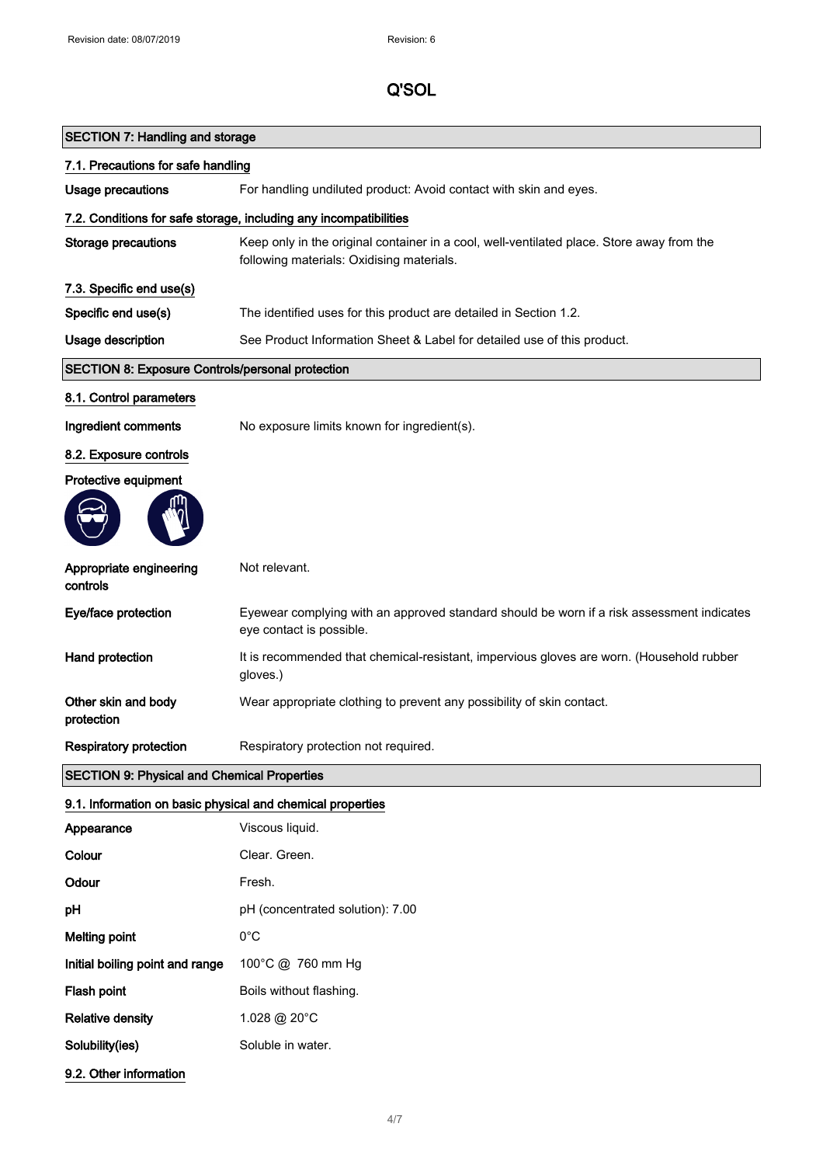| 7.1. Precautions for safe handling                      |                                                                                                                                        |
|---------------------------------------------------------|----------------------------------------------------------------------------------------------------------------------------------------|
| <b>Usage precautions</b>                                | For handling undiluted product: Avoid contact with skin and eyes.                                                                      |
|                                                         | 7.2. Conditions for safe storage, including any incompatibilities                                                                      |
| <b>Storage precautions</b>                              | Keep only in the original container in a cool, well-ventilated place. Store away from the<br>following materials: Oxidising materials. |
| 7.3. Specific end use(s)                                |                                                                                                                                        |
| Specific end use(s)                                     | The identified uses for this product are detailed in Section 1.2.                                                                      |
| Usage description                                       | See Product Information Sheet & Label for detailed use of this product.                                                                |
| <b>SECTION 8: Exposure Controls/personal protection</b> |                                                                                                                                        |
| 8.1. Control parameters                                 |                                                                                                                                        |
| Ingredient comments                                     | No exposure limits known for ingredient(s).                                                                                            |
| 8.2. Exposure controls                                  |                                                                                                                                        |
| Protective equipment                                    |                                                                                                                                        |
|                                                         |                                                                                                                                        |
| Appropriate engineering<br>controls                     | Not relevant.                                                                                                                          |
| Eye/face protection                                     | Eyewear complying with an approved standard should be worn if a risk assessment indicates<br>eye contact is possible.                  |
| Hand protection                                         | It is recommended that chemical-resistant, impervious gloves are worn. (Household rubber<br>gloves.)                                   |
| Other skin and body<br>protection                       | Wear appropriate clothing to prevent any possibility of skin contact.                                                                  |
| <b>Respiratory protection</b>                           | Respiratory protection not required.                                                                                                   |
| <b>SECTION 9: Physical and Chemical Properties</b>      |                                                                                                                                        |

# 9.1. Information on basic physical and chemical properties

| Appearance                      | Viscous liquid.                  |
|---------------------------------|----------------------------------|
| Colour                          | Clear. Green.                    |
| Odour                           | Fresh.                           |
| рH                              | pH (concentrated solution): 7.00 |
| Melting point                   | 0°C                              |
| Initial boiling point and range | 100°C @ 760 mm Hg                |
| Flash point                     | Boils without flashing.          |
| <b>Relative density</b>         | 1.028 @ 20 $^{\circ}$ C          |
| Solubility(ies)                 | Soluble in water.                |
| 9.2. Other information          |                                  |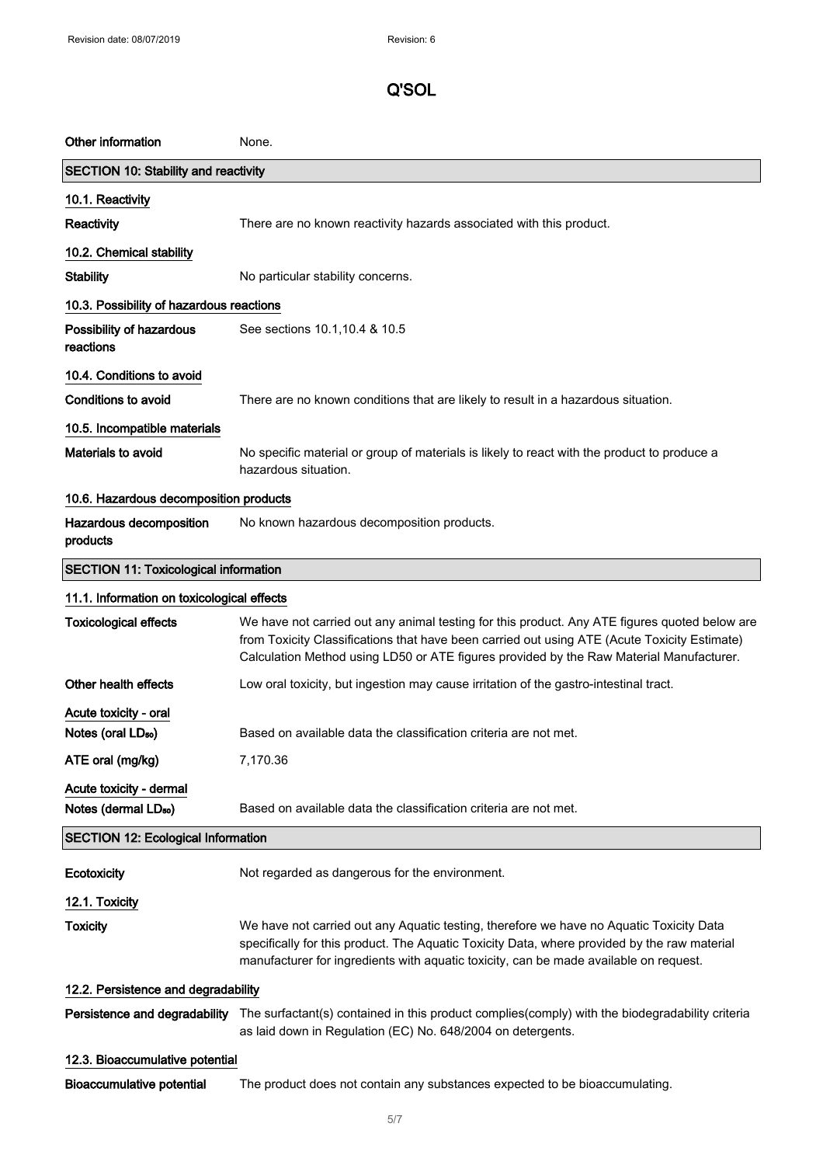| Other information                                           | None.                                                                                                                                                                                                                                                                                    |  |
|-------------------------------------------------------------|------------------------------------------------------------------------------------------------------------------------------------------------------------------------------------------------------------------------------------------------------------------------------------------|--|
| <b>SECTION 10: Stability and reactivity</b>                 |                                                                                                                                                                                                                                                                                          |  |
| 10.1. Reactivity                                            |                                                                                                                                                                                                                                                                                          |  |
| Reactivity                                                  | There are no known reactivity hazards associated with this product.                                                                                                                                                                                                                      |  |
| 10.2. Chemical stability                                    |                                                                                                                                                                                                                                                                                          |  |
| <b>Stability</b>                                            | No particular stability concerns.                                                                                                                                                                                                                                                        |  |
| 10.3. Possibility of hazardous reactions                    |                                                                                                                                                                                                                                                                                          |  |
| Possibility of hazardous<br>reactions                       | See sections 10.1, 10.4 & 10.5                                                                                                                                                                                                                                                           |  |
| 10.4. Conditions to avoid                                   |                                                                                                                                                                                                                                                                                          |  |
| Conditions to avoid                                         | There are no known conditions that are likely to result in a hazardous situation.                                                                                                                                                                                                        |  |
| 10.5. Incompatible materials                                |                                                                                                                                                                                                                                                                                          |  |
| Materials to avoid                                          | No specific material or group of materials is likely to react with the product to produce a<br>hazardous situation.                                                                                                                                                                      |  |
| 10.6. Hazardous decomposition products                      |                                                                                                                                                                                                                                                                                          |  |
| Hazardous decomposition<br>products                         | No known hazardous decomposition products.                                                                                                                                                                                                                                               |  |
| <b>SECTION 11: Toxicological information</b>                |                                                                                                                                                                                                                                                                                          |  |
| 11.1. Information on toxicological effects                  |                                                                                                                                                                                                                                                                                          |  |
| <b>Toxicological effects</b>                                | We have not carried out any animal testing for this product. Any ATE figures quoted below are<br>from Toxicity Classifications that have been carried out using ATE (Acute Toxicity Estimate)<br>Calculation Method using LD50 or ATE figures provided by the Raw Material Manufacturer. |  |
| Other health effects                                        | Low oral toxicity, but ingestion may cause irritation of the gastro-intestinal tract.                                                                                                                                                                                                    |  |
| Acute toxicity - oral<br>Notes (oral LD <sub>50</sub> )     | Based on available data the classification criteria are not met.                                                                                                                                                                                                                         |  |
| ATE oral (mg/kg)                                            | 7,170.36                                                                                                                                                                                                                                                                                 |  |
| Acute toxicity - dermal<br>Notes (dermal LD <sub>50</sub> ) | Based on available data the classification criteria are not met.                                                                                                                                                                                                                         |  |
| <b>SECTION 12: Ecological Information</b>                   |                                                                                                                                                                                                                                                                                          |  |
| Ecotoxicity                                                 | Not regarded as dangerous for the environment.                                                                                                                                                                                                                                           |  |
| 12.1. Toxicity                                              |                                                                                                                                                                                                                                                                                          |  |
| <b>Toxicity</b>                                             | We have not carried out any Aquatic testing, therefore we have no Aquatic Toxicity Data<br>specifically for this product. The Aquatic Toxicity Data, where provided by the raw material<br>manufacturer for ingredients with aquatic toxicity, can be made available on request.         |  |
| 12.2. Persistence and degradability                         |                                                                                                                                                                                                                                                                                          |  |
| Persistence and degradability                               | The surfactant(s) contained in this product complies(comply) with the biodegradability criteria<br>as laid down in Regulation (EC) No. 648/2004 on detergents.                                                                                                                           |  |
| 12.3. Bioaccumulative potential                             |                                                                                                                                                                                                                                                                                          |  |
| <b>Bioaccumulative potential</b>                            | The product does not contain any substances expected to be bioaccumulating.                                                                                                                                                                                                              |  |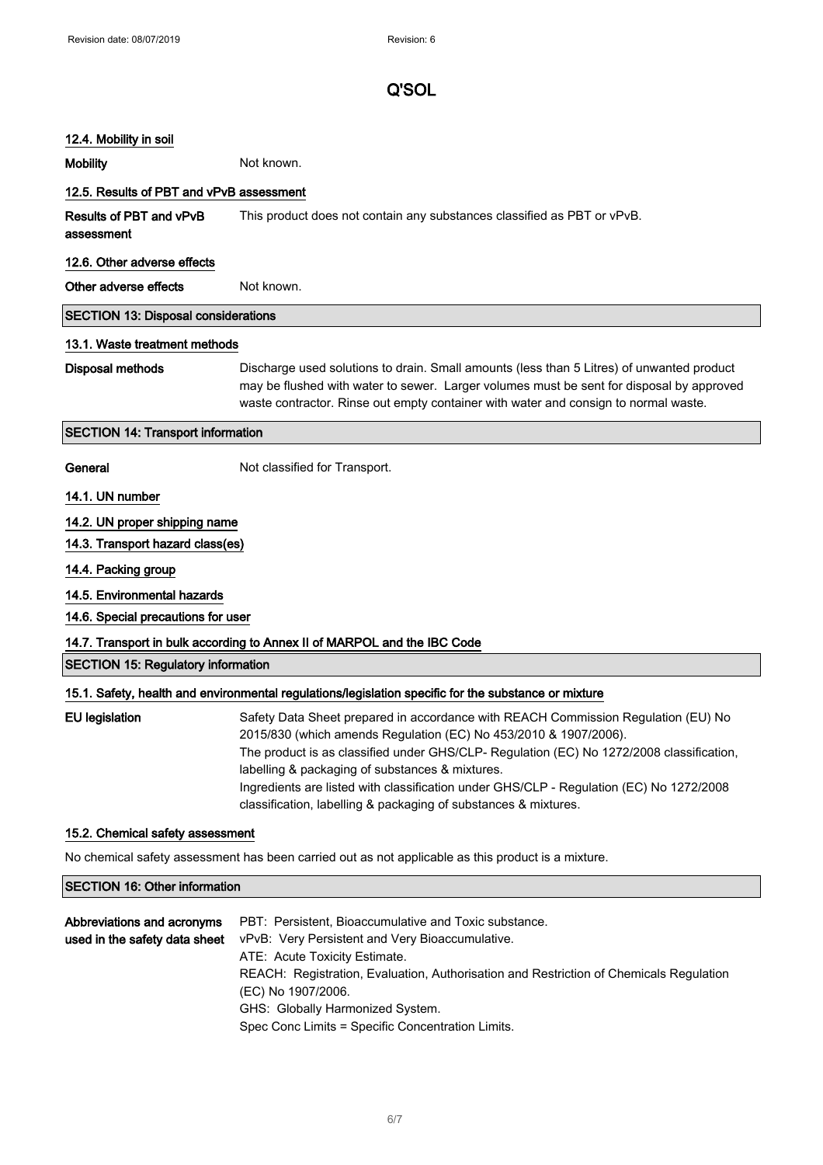### 12.4. Mobility in soil

Mobility **Mobility** Not known.

# 12.5. Results of PBT and vPvB assessment

Results of PBT and vPvB assessment This product does not contain any substances classified as PBT or vPvB.

#### 12.6. Other adverse effects

Other adverse effects Not known.

## SECTION 13: Disposal considerations

#### 13.1. Waste treatment methods

Disposal methods Discharge used solutions to drain. Small amounts (less than 5 Litres) of unwanted product may be flushed with water to sewer. Larger volumes must be sent for disposal by approved waste contractor. Rinse out empty container with water and consign to normal waste.

### SECTION 14: Transport information

General Not classified for Transport.

#### 14.1. UN number

### 14.2. UN proper shipping name

14.3. Transport hazard class(es)

#### 14.4. Packing group

- 14.5. Environmental hazards
- 14.6. Special precautions for user

### 14.7. Transport in bulk according to Annex II of MARPOL and the IBC Code

#### SECTION 15: Regulatory information

### 15.1. Safety, health and environmental regulations/legislation specific for the substance or mixture

| EU legislation | Safety Data Sheet prepared in accordance with REACH Commission Regulation (EU) No        |
|----------------|------------------------------------------------------------------------------------------|
|                | 2015/830 (which amends Regulation (EC) No 453/2010 & 1907/2006).                         |
|                | The product is as classified under GHS/CLP- Regulation (EC) No 1272/2008 classification, |
|                | labelling & packaging of substances & mixtures.                                          |
|                | Ingredients are listed with classification under GHS/CLP - Regulation (EC) No 1272/2008  |
|                | classification, labelling & packaging of substances & mixtures.                          |

#### 15.2. Chemical safety assessment

No chemical safety assessment has been carried out as not applicable as this product is a mixture.

# SECTION 16: Other information

| Abbreviations and acronyms    | PBT: Persistent, Bioaccumulative and Toxic substance.                                  |
|-------------------------------|----------------------------------------------------------------------------------------|
| used in the safety data sheet | vPvB: Very Persistent and Very Bioaccumulative.                                        |
|                               | ATE: Acute Toxicity Estimate.                                                          |
|                               | REACH: Registration, Evaluation, Authorisation and Restriction of Chemicals Regulation |
|                               | (EC) No 1907/2006.                                                                     |
|                               | GHS: Globally Harmonized System.                                                       |
|                               | Spec Conc Limits = Specific Concentration Limits.                                      |